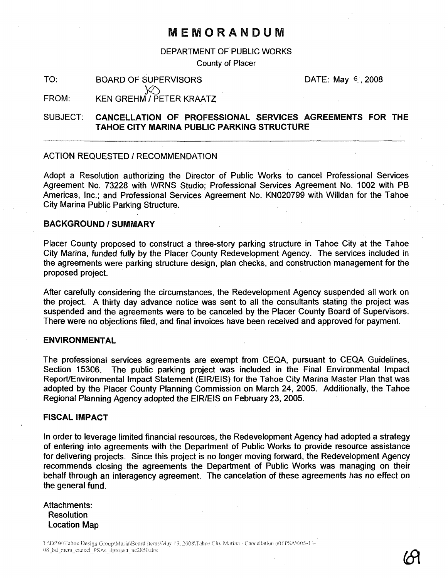# MEMORANDUM

DEPARTMENT OF PUBLIC WORKS

County of Placer

TO: BOARD OF SUPERVISORS DATE: May 6, 2008

FROM: KEN GREHM / PETER KRAATZ

 $\sqrt{2}$ 

# SUBJECT: CANCELLATION OF PROFESSIONAL SERVICES AGREEMENTS FOR THE TAHOE CITY MARINA PUBLIC PARKING STRUCTURE

#### ACTION REQUESTED / RECOMMENDATION

Adopt a Resolution authorizing the Director of Public Works to cancel Professional Services Agreement No. 73228 with WRNS Studio; Professional Services Agreement No. 1002 with PB Americas, Inc.; and Professional Services Agreement No. KN020799 with Willdan for the Tahoe City Marina Public Parking Structure.

#### BACKGROUND / SUMMARY

Placer County proposed to construct a three-story parking structure in Tahoe City at the Tahoe City Marina, funded fully by the Placer County Redevelopment Agency. The services included in the agreements were parking structure design, plan checks, and construction management for the proposed project.

After carefully considering the circumstances, the Redevelopment Agency suspended all work on the project. A thirty day advance notice was sent to all the consultants stating the project was suspended and the agreements were to be canceled by the Placer County Board of Supervisors. There were no objections filed, and final invoices have been received and approved for payment.

### ENVIRONMENTAL

The professional services agreements are exempt from CEQA, pursuant to CEQA Guidelines, Section 15306. The public parking project was included in the Final Environmental Impact Report/Environmental Impact Statement (EIR/EIS) for the Tahoe City Marina Master Plan that was adopted by the Placer County Planning Commission on March 24, 2005. Additionally, the Tahoe Regional Planning Agency adopted the EIR/EIS on February 23, 2005.

#### FISCAL IMPACT

In order to leverage limited financial resources, the Redevelopment Agency had adopted a strategy of entering into agreements with the Department of Public Works to provide resource assistance for delivering projects. Since this project is no longer moving forward, the Redevelopment Agency recommends closing the agreements the Department of Public Works was managing on their behalf through an interagency agreement. The cancelation of these agreements has no effect on the general fund.

## Attachments: Resolution Location Map

T:\DPW\Tahoe Design Group\Maria\Board Items\May 13, 2008\Tahoe City Marina - Cancellation o0f PSA's\05-13-08\_bd\_mem\_cancel\_PSAs\_4project\_pc2850.dcc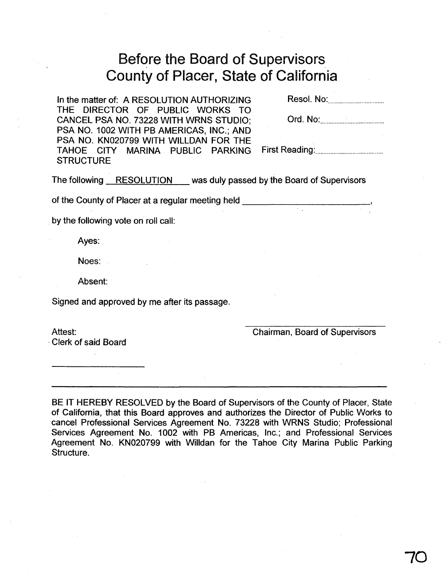# Before the Board of Supervisors County of Placer, State of California

In the matter of: A RESOLUTION AUTHORIZING THE DIRECTOR OF PUBLIC WORKS TO CANCEL PSA NO. 73228 WITH WRNS STUDIO; PSA NO. 1002 WITH PB AMERICAS, INC.; AND PSA NO. KN020799 WITH WILLDAN FOR THE TAHOE CITY MARINA PUBLIC PARKING **STRUCTURE** 

Resol. No: .

| Ord. No: |  |
|----------|--|
|----------|--|

First Reading: .

The following RESOLUTION was duly passed by the Board of Supervisors

of the County of Placer at a regular meeting held \_\_\_\_\_

by the following vote on roll call:

Ayes:

Noes:

Absent:

Signed and approved by me after its passage.

Attest: .Clerk of said Board Chairman, Board of Supervisors

BE IT HEREBY RESOLVED by the Board of Supervisors of the County of Placer, State of California, that this Board approves and authorizes the Director of Public Works to cancel Professional Services Agreement No. 73228 with WRNS Studio; Professional Services Agreement No. 1002 with PB Americas, Inc.; and Professional Services Agreement No. KN020799 with Willdan for the Tahoe City Marina Public Parking Structure.